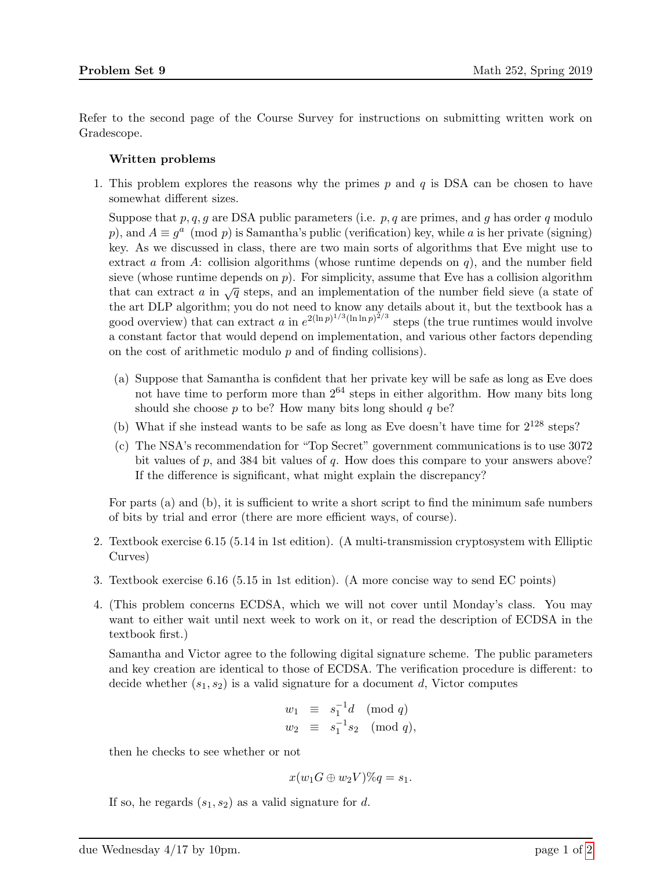Refer to the second page of the Course Survey for instructions on submitting written work on Gradescope.

## Written problems

1. This problem explores the reasons why the primes  $p$  and  $q$  is DSA can be chosen to have somewhat different sizes.

Suppose that p, q, q are DSA public parameters (i.e.  $p$ , q are primes, and q has order q modulo p), and  $A \equiv g^a \pmod{p}$  is Samantha's public (verification) key, while a is her private (signing) key. As we discussed in class, there are two main sorts of algorithms that Eve might use to extract a from A: collision algorithms (whose runtime depends on  $q$ ), and the number field sieve (whose runtime depends on  $p$ ). For simplicity, assume that Eve has a collision algorithm that can extract a in  $\sqrt{q}$  steps, and an implementation of the number field sieve (a state of the art DLP algorithm; you do not need to know any details about it, but the textbook has a good overview) that can extract a in  $e^{2(\ln p)^{1/3}(\ln \ln p)^{2/3}}$  steps (the true runtimes would involve a constant factor that would depend on implementation, and various other factors depending on the cost of arithmetic modulo  $p$  and of finding collisions).

- (a) Suppose that Samantha is confident that her private key will be safe as long as Eve does not have time to perform more than  $2^{64}$  steps in either algorithm. How many bits long should she choose  $p$  to be? How many bits long should  $q$  be?
- (b) What if she instead wants to be safe as long as Eve doesn't have time for  $2^{128}$  steps?
- (c) The NSA's recommendation for "Top Secret" government communications is to use 3072 bit values of  $p$ , and 384 bit values of  $q$ . How does this compare to your answers above? If the difference is significant, what might explain the discrepancy?

For parts (a) and (b), it is sufficient to write a short script to find the minimum safe numbers of bits by trial and error (there are more efficient ways, of course).

- 2. Textbook exercise 6.15 (5.14 in 1st edition). (A multi-transmission cryptosystem with Elliptic Curves)
- 3. Textbook exercise 6.16 (5.15 in 1st edition). (A more concise way to send EC points)
- 4. (This problem concerns ECDSA, which we will not cover until Monday's class. You may want to either wait until next week to work on it, or read the description of ECDSA in the textbook first.)

Samantha and Victor agree to the following digital signature scheme. The public parameters and key creation are identical to those of ECDSA. The verification procedure is different: to decide whether  $(s_1, s_2)$  is a valid signature for a document d, Victor computes

$$
w_1 \equiv s_1^{-1}d \pmod{q}
$$
  

$$
w_2 \equiv s_1^{-1}s_2 \pmod{q},
$$

then he checks to see whether or not

$$
x(w_1G \oplus w_2V)\%q = s_1.
$$

If so, he regards  $(s_1, s_2)$  as a valid signature for d.